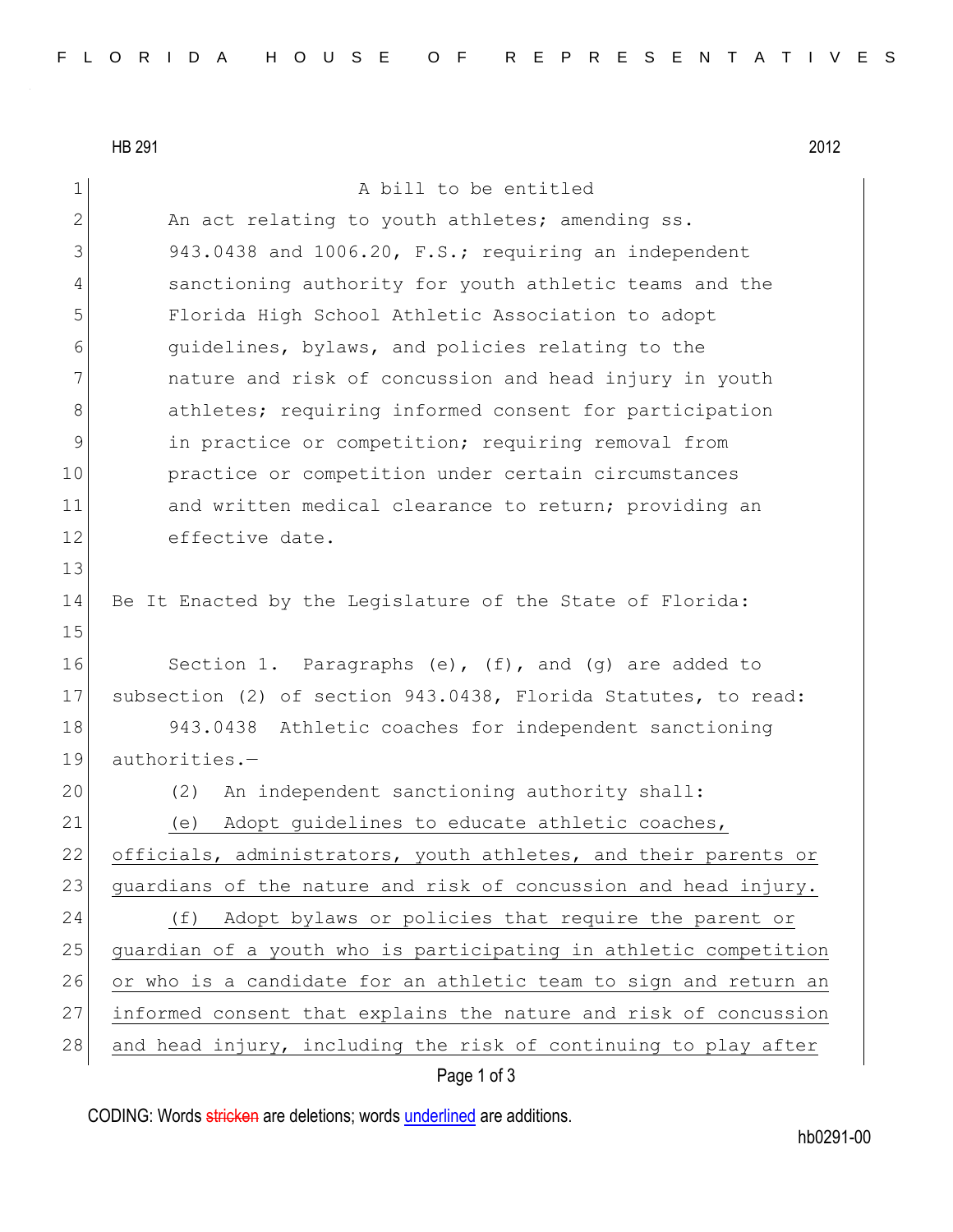HB 291 2012

1 A bill to be entitled 2 An act relating to youth athletes; amending ss. 3 943.0438 and 1006.20, F.S.; requiring an independent 4 sanctioning authority for youth athletic teams and the 5 Florida High School Athletic Association to adopt 6 guidelines, bylaws, and policies relating to the 7 1 1222 nature and risk of concussion and head injury in youth 8 athletes; requiring informed consent for participation 9 in practice or competition; requiring removal from 10 practice or competition under certain circumstances 11 and written medical clearance to return; providing an 12 effective date. 13 14 Be It Enacted by the Legislature of the State of Florida: 15 16 Section 1. Paragraphs (e), (f), and (g) are added to 17 subsection (2) of section 943.0438, Florida Statutes, to read: 18 943.0438 Athletic coaches for independent sanctioning 19 authorities.— 20 (2) An independent sanctioning authority shall: 21 (e) Adopt guidelines to educate athletic coaches, 22 officials, administrators, youth athletes, and their parents or 23 guardians of the nature and risk of concussion and head injury. 24 (f) Adopt bylaws or policies that require the parent or 25 guardian of a youth who is participating in athletic competition 26 or who is a candidate for an athletic team to sign and return an 27 informed consent that explains the nature and risk of concussion 28 and head injury, including the risk of continuing to play after

## Page 1 of 3

CODING: Words stricken are deletions; words underlined are additions.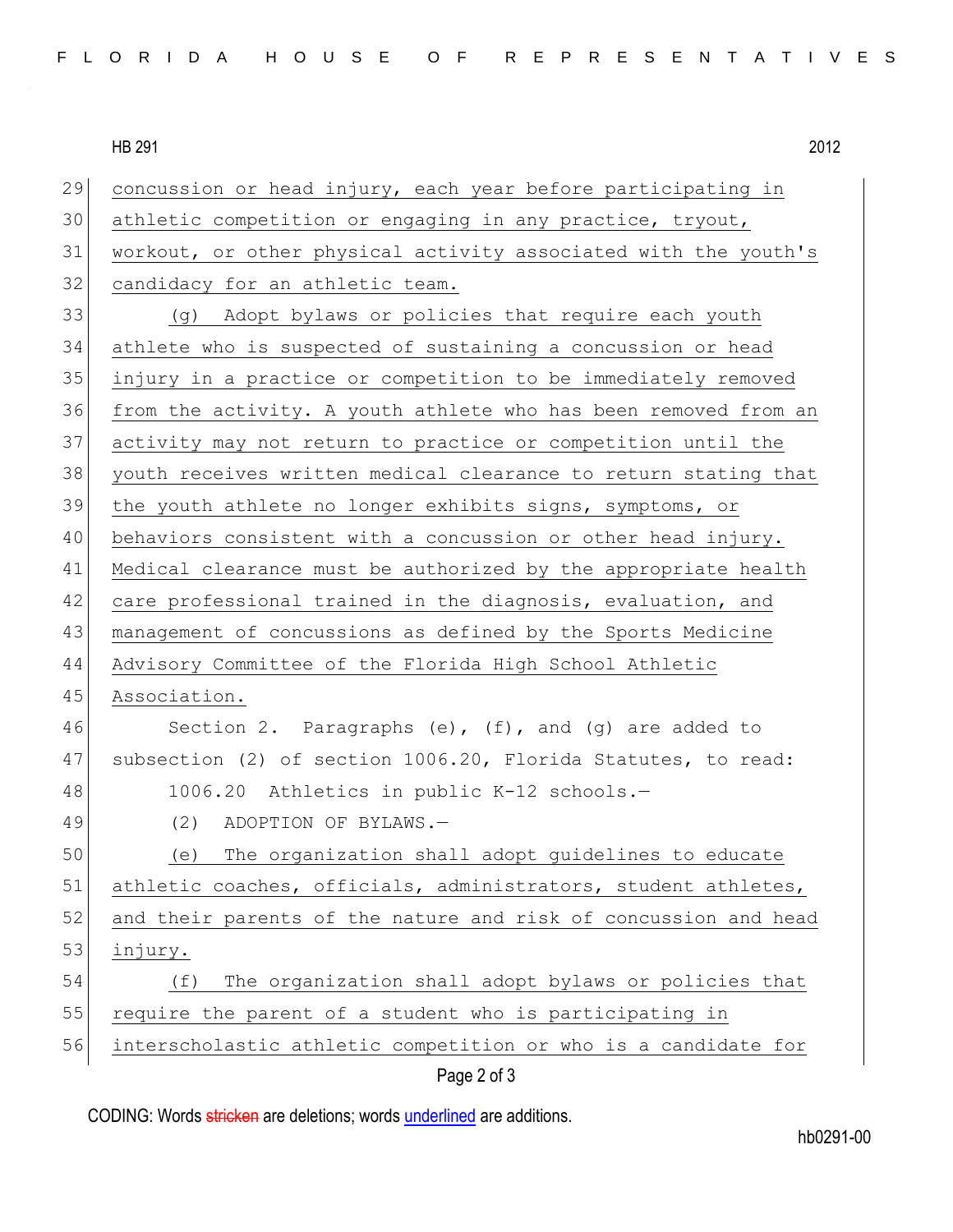HB 291 2012

| 29 | concussion or head injury, each year before participating in    |
|----|-----------------------------------------------------------------|
| 30 | athletic competition or engaging in any practice, tryout,       |
| 31 | workout, or other physical activity associated with the youth's |
| 32 | candidacy for an athletic team.                                 |
| 33 | (g) Adopt bylaws or policies that require each youth            |
| 34 | athlete who is suspected of sustaining a concussion or head     |
| 35 | injury in a practice or competition to be immediately removed   |
| 36 | from the activity. A youth athlete who has been removed from an |
| 37 | activity may not return to practice or competition until the    |
| 38 | youth receives written medical clearance to return stating that |
| 39 | the youth athlete no longer exhibits signs, symptoms, or        |
| 40 | behaviors consistent with a concussion or other head injury.    |
| 41 | Medical clearance must be authorized by the appropriate health  |
| 42 | care professional trained in the diagnosis, evaluation, and     |
| 43 | management of concussions as defined by the Sports Medicine     |
| 44 | Advisory Committee of the Florida High School Athletic          |
| 45 | Association.                                                    |
| 46 | Section 2. Paragraphs $(e)$ , $(f)$ , and $(g)$ are added to    |
| 47 | subsection (2) of section 1006.20, Florida Statutes, to read:   |
| 48 | 1006.20 Athletics in public K-12 schools.-                      |
| 49 | ADOPTION OF BYLAWS.-<br>(2)                                     |
| 50 | The organization shall adopt quidelines to educate<br>(e)       |
| 51 | athletic coaches, officials, administrators, student athletes,  |
| 52 | and their parents of the nature and risk of concussion and head |
| 53 | injury.                                                         |
| 54 | The organization shall adopt bylaws or policies that<br>(f)     |
| 55 | require the parent of a student who is participating in         |
| 56 | interscholastic athletic competition or who is a candidate for  |
|    | Page 2 of 3                                                     |

CODING: Words stricken are deletions; words underlined are additions.